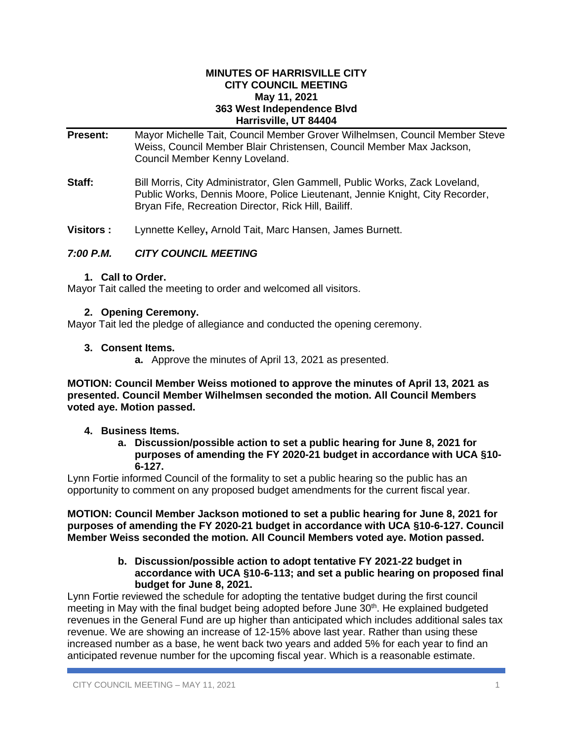#### **MINUTES OF HARRISVILLE CITY CITY COUNCIL MEETING May 11, 2021 363 West Independence Blvd Harrisville, UT 84404**

| <b>Present:</b> | Mayor Michelle Tait, Council Member Grover Wilhelmsen, Council Member Steve<br>Weiss, Council Member Blair Christensen, Council Member Max Jackson,<br>Council Member Kenny Loveland.                               |  |  |
|-----------------|---------------------------------------------------------------------------------------------------------------------------------------------------------------------------------------------------------------------|--|--|
| Staff:          | Bill Morris, City Administrator, Glen Gammell, Public Works, Zack Loveland,<br>Public Works, Dennis Moore, Police Lieutenant, Jennie Knight, City Recorder,<br>Bryan Fife, Recreation Director, Rick Hill, Bailiff. |  |  |

**Visitors :** Lynnette Kelley**,** Arnold Tait, Marc Hansen, James Burnett.

# *7:00 P.M. CITY COUNCIL MEETING*

## **1. Call to Order.**

Mayor Tait called the meeting to order and welcomed all visitors.

# **2. Opening Ceremony.**

Mayor Tait led the pledge of allegiance and conducted the opening ceremony.

## **3. Consent Items.**

**a.** Approve the minutes of April 13, 2021 as presented.

**MOTION: Council Member Weiss motioned to approve the minutes of April 13, 2021 as presented. Council Member Wilhelmsen seconded the motion. All Council Members voted aye. Motion passed.**

# **4. Business Items.**

**a. Discussion/possible action to set a public hearing for June 8, 2021 for purposes of amending the FY 2020-21 budget in accordance with UCA §10- 6-127.** 

Lynn Fortie informed Council of the formality to set a public hearing so the public has an opportunity to comment on any proposed budget amendments for the current fiscal year.

**MOTION: Council Member Jackson motioned to set a public hearing for June 8, 2021 for purposes of amending the FY 2020-21 budget in accordance with UCA §10-6-127. Council Member Weiss seconded the motion. All Council Members voted aye. Motion passed.**

#### **b. Discussion/possible action to adopt tentative FY 2021-22 budget in accordance with UCA §10-6-113; and set a public hearing on proposed final budget for June 8, 2021.**

Lynn Fortie reviewed the schedule for adopting the tentative budget during the first council meeting in May with the final budget being adopted before June  $30<sup>th</sup>$ . He explained budgeted revenues in the General Fund are up higher than anticipated which includes additional sales tax revenue. We are showing an increase of 12-15% above last year. Rather than using these increased number as a base, he went back two years and added 5% for each year to find an anticipated revenue number for the upcoming fiscal year. Which is a reasonable estimate.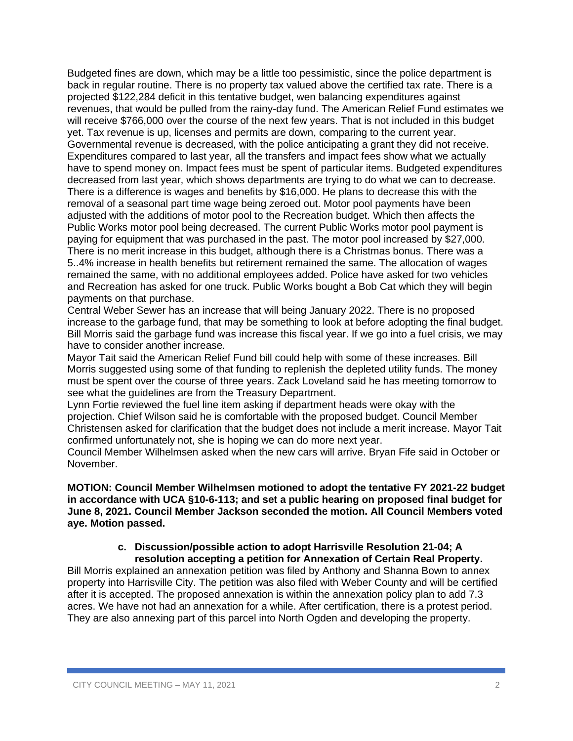Budgeted fines are down, which may be a little too pessimistic, since the police department is back in regular routine. There is no property tax valued above the certified tax rate. There is a projected \$122,284 deficit in this tentative budget, wen balancing expenditures against revenues, that would be pulled from the rainy-day fund. The American Relief Fund estimates we will receive \$766,000 over the course of the next few years. That is not included in this budget yet. Tax revenue is up, licenses and permits are down, comparing to the current year. Governmental revenue is decreased, with the police anticipating a grant they did not receive. Expenditures compared to last year, all the transfers and impact fees show what we actually have to spend money on. Impact fees must be spent of particular items. Budgeted expenditures decreased from last year, which shows departments are trying to do what we can to decrease. There is a difference is wages and benefits by \$16,000. He plans to decrease this with the removal of a seasonal part time wage being zeroed out. Motor pool payments have been adjusted with the additions of motor pool to the Recreation budget. Which then affects the Public Works motor pool being decreased. The current Public Works motor pool payment is paying for equipment that was purchased in the past. The motor pool increased by \$27,000. There is no merit increase in this budget, although there is a Christmas bonus. There was a 5..4% increase in health benefits but retirement remained the same. The allocation of wages remained the same, with no additional employees added. Police have asked for two vehicles and Recreation has asked for one truck. Public Works bought a Bob Cat which they will begin payments on that purchase.

Central Weber Sewer has an increase that will being January 2022. There is no proposed increase to the garbage fund, that may be something to look at before adopting the final budget. Bill Morris said the garbage fund was increase this fiscal year. If we go into a fuel crisis, we may have to consider another increase.

Mayor Tait said the American Relief Fund bill could help with some of these increases. Bill Morris suggested using some of that funding to replenish the depleted utility funds. The money must be spent over the course of three years. Zack Loveland said he has meeting tomorrow to see what the guidelines are from the Treasury Department.

Lynn Fortie reviewed the fuel line item asking if department heads were okay with the projection. Chief Wilson said he is comfortable with the proposed budget. Council Member Christensen asked for clarification that the budget does not include a merit increase. Mayor Tait confirmed unfortunately not, she is hoping we can do more next year.

Council Member Wilhelmsen asked when the new cars will arrive. Bryan Fife said in October or November.

#### **MOTION: Council Member Wilhelmsen motioned to adopt the tentative FY 2021-22 budget in accordance with UCA §10-6-113; and set a public hearing on proposed final budget for June 8, 2021. Council Member Jackson seconded the motion. All Council Members voted aye. Motion passed.**

#### **c. Discussion/possible action to adopt Harrisville Resolution 21-04; A resolution accepting a petition for Annexation of Certain Real Property.**

Bill Morris explained an annexation petition was filed by Anthony and Shanna Bown to annex property into Harrisville City. The petition was also filed with Weber County and will be certified after it is accepted. The proposed annexation is within the annexation policy plan to add 7.3 acres. We have not had an annexation for a while. After certification, there is a protest period. They are also annexing part of this parcel into North Ogden and developing the property.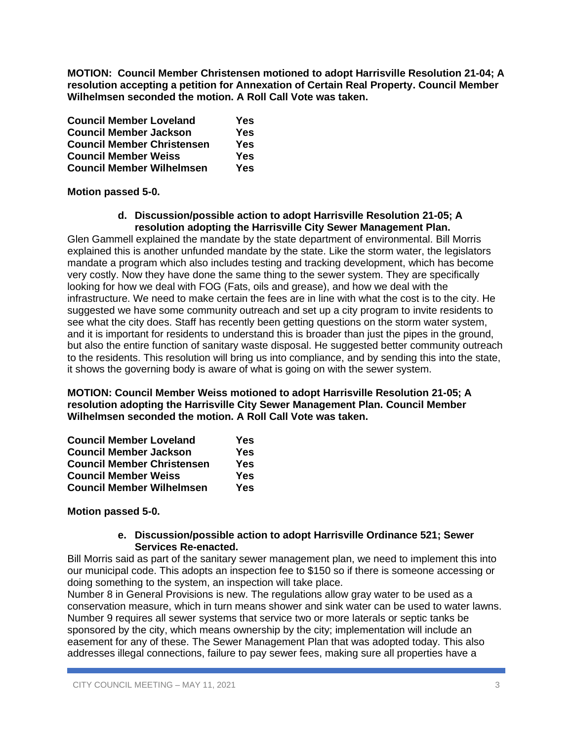**MOTION: Council Member Christensen motioned to adopt Harrisville Resolution 21-04; A resolution accepting a petition for Annexation of Certain Real Property. Council Member Wilhelmsen seconded the motion. A Roll Call Vote was taken.**

| <b>Council Member Loveland</b>    | Yes        |
|-----------------------------------|------------|
| <b>Council Member Jackson</b>     | <b>Yes</b> |
| <b>Council Member Christensen</b> | Yes        |
| <b>Council Member Weiss</b>       | Yes        |
| <b>Council Member Wilhelmsen</b>  | Yes        |

## **Motion passed 5-0.**

#### **d. Discussion/possible action to adopt Harrisville Resolution 21-05; A resolution adopting the Harrisville City Sewer Management Plan.**

Glen Gammell explained the mandate by the state department of environmental. Bill Morris explained this is another unfunded mandate by the state. Like the storm water, the legislators mandate a program which also includes testing and tracking development, which has become very costly. Now they have done the same thing to the sewer system. They are specifically looking for how we deal with FOG (Fats, oils and grease), and how we deal with the infrastructure. We need to make certain the fees are in line with what the cost is to the city. He suggested we have some community outreach and set up a city program to invite residents to see what the city does. Staff has recently been getting questions on the storm water system, and it is important for residents to understand this is broader than just the pipes in the ground, but also the entire function of sanitary waste disposal. He suggested better community outreach to the residents. This resolution will bring us into compliance, and by sending this into the state, it shows the governing body is aware of what is going on with the sewer system.

**MOTION: Council Member Weiss motioned to adopt Harrisville Resolution 21-05; A resolution adopting the Harrisville City Sewer Management Plan. Council Member Wilhelmsen seconded the motion. A Roll Call Vote was taken.**

| <b>Council Member Loveland</b>    | Yes |
|-----------------------------------|-----|
| <b>Council Member Jackson</b>     | Yes |
| <b>Council Member Christensen</b> | Yes |
| <b>Council Member Weiss</b>       | Yes |
| <b>Council Member Wilhelmsen</b>  | Yes |

## **Motion passed 5-0.**

#### **e. Discussion/possible action to adopt Harrisville Ordinance 521; Sewer Services Re-enacted.**

Bill Morris said as part of the sanitary sewer management plan, we need to implement this into our municipal code. This adopts an inspection fee to \$150 so if there is someone accessing or doing something to the system, an inspection will take place.

Number 8 in General Provisions is new. The regulations allow gray water to be used as a conservation measure, which in turn means shower and sink water can be used to water lawns. Number 9 requires all sewer systems that service two or more laterals or septic tanks be sponsored by the city, which means ownership by the city; implementation will include an easement for any of these. The Sewer Management Plan that was adopted today. This also addresses illegal connections, failure to pay sewer fees, making sure all properties have a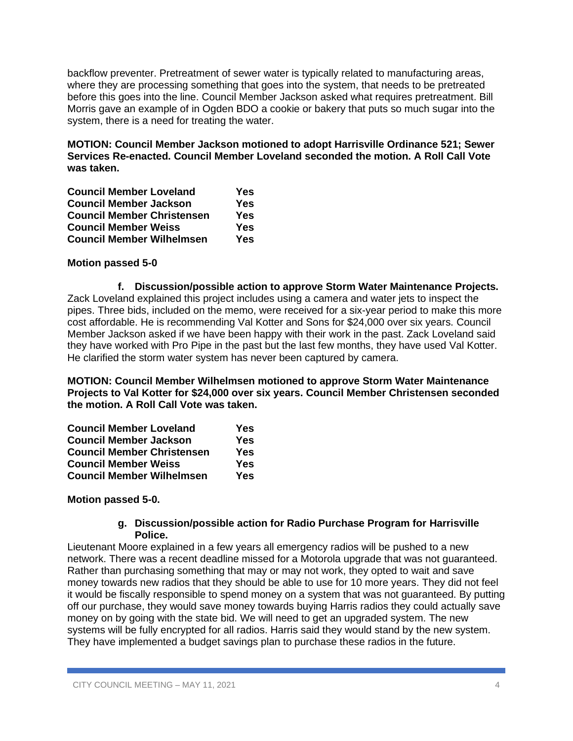backflow preventer. Pretreatment of sewer water is typically related to manufacturing areas, where they are processing something that goes into the system, that needs to be pretreated before this goes into the line. Council Member Jackson asked what requires pretreatment. Bill Morris gave an example of in Ogden BDO a cookie or bakery that puts so much sugar into the system, there is a need for treating the water.

**MOTION: Council Member Jackson motioned to adopt Harrisville Ordinance 521; Sewer Services Re-enacted. Council Member Loveland seconded the motion. A Roll Call Vote was taken.**

| <b>Council Member Loveland</b>    | Yes        |
|-----------------------------------|------------|
| <b>Council Member Jackson</b>     | <b>Yes</b> |
| <b>Council Member Christensen</b> | Yes        |
| <b>Council Member Weiss</b>       | Yes        |
| <b>Council Member Wilhelmsen</b>  | Yes        |

## **Motion passed 5-0**

**f. Discussion/possible action to approve Storm Water Maintenance Projects.** Zack Loveland explained this project includes using a camera and water jets to inspect the pipes. Three bids, included on the memo, were received for a six-year period to make this more cost affordable. He is recommending Val Kotter and Sons for \$24,000 over six years. Council Member Jackson asked if we have been happy with their work in the past. Zack Loveland said they have worked with Pro Pipe in the past but the last few months, they have used Val Kotter. He clarified the storm water system has never been captured by camera.

**MOTION: Council Member Wilhelmsen motioned to approve Storm Water Maintenance Projects to Val Kotter for \$24,000 over six years. Council Member Christensen seconded the motion. A Roll Call Vote was taken.**

| <b>Council Member Loveland</b>    | Yes |
|-----------------------------------|-----|
| <b>Council Member Jackson</b>     | Yes |
| <b>Council Member Christensen</b> | Yes |
| <b>Council Member Weiss</b>       | Yes |
| <b>Council Member Wilhelmsen</b>  | Yes |

## **Motion passed 5-0.**

#### **g. Discussion/possible action for Radio Purchase Program for Harrisville Police.**

Lieutenant Moore explained in a few years all emergency radios will be pushed to a new network. There was a recent deadline missed for a Motorola upgrade that was not guaranteed. Rather than purchasing something that may or may not work, they opted to wait and save money towards new radios that they should be able to use for 10 more years. They did not feel it would be fiscally responsible to spend money on a system that was not guaranteed. By putting off our purchase, they would save money towards buying Harris radios they could actually save money on by going with the state bid. We will need to get an upgraded system. The new systems will be fully encrypted for all radios. Harris said they would stand by the new system. They have implemented a budget savings plan to purchase these radios in the future.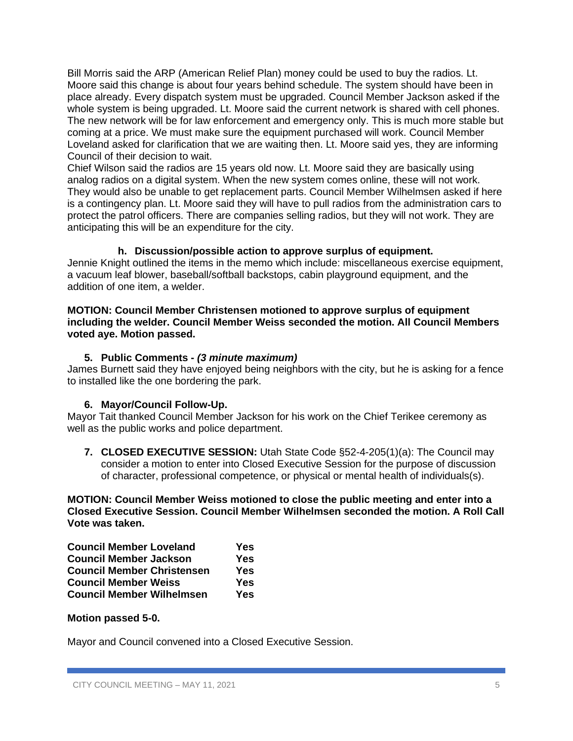Bill Morris said the ARP (American Relief Plan) money could be used to buy the radios. Lt. Moore said this change is about four years behind schedule. The system should have been in place already. Every dispatch system must be upgraded. Council Member Jackson asked if the whole system is being upgraded. Lt. Moore said the current network is shared with cell phones. The new network will be for law enforcement and emergency only. This is much more stable but coming at a price. We must make sure the equipment purchased will work. Council Member Loveland asked for clarification that we are waiting then. Lt. Moore said yes, they are informing Council of their decision to wait.

Chief Wilson said the radios are 15 years old now. Lt. Moore said they are basically using analog radios on a digital system. When the new system comes online, these will not work. They would also be unable to get replacement parts. Council Member Wilhelmsen asked if here is a contingency plan. Lt. Moore said they will have to pull radios from the administration cars to protect the patrol officers. There are companies selling radios, but they will not work. They are anticipating this will be an expenditure for the city.

## **h. Discussion/possible action to approve surplus of equipment.**

Jennie Knight outlined the items in the memo which include: miscellaneous exercise equipment, a vacuum leaf blower, baseball/softball backstops, cabin playground equipment, and the addition of one item, a welder.

#### **MOTION: Council Member Christensen motioned to approve surplus of equipment including the welder. Council Member Weiss seconded the motion. All Council Members voted aye. Motion passed.**

## **5. Public Comments -** *(3 minute maximum)*

James Burnett said they have enjoyed being neighbors with the city, but he is asking for a fence to installed like the one bordering the park.

# **6. Mayor/Council Follow-Up.**

Mayor Tait thanked Council Member Jackson for his work on the Chief Terikee ceremony as well as the public works and police department.

**7. CLOSED EXECUTIVE SESSION:** Utah State Code §52-4-205(1)(a): The Council may consider a motion to enter into Closed Executive Session for the purpose of discussion of character, professional competence, or physical or mental health of individuals(s).

**MOTION: Council Member Weiss motioned to close the public meeting and enter into a Closed Executive Session. Council Member Wilhelmsen seconded the motion. A Roll Call Vote was taken.**

| <b>Council Member Loveland</b>    | Yes |
|-----------------------------------|-----|
| <b>Council Member Jackson</b>     | Yes |
| <b>Council Member Christensen</b> | Yes |
| <b>Council Member Weiss</b>       | Yes |
| <b>Council Member Wilhelmsen</b>  | Yes |

## **Motion passed 5-0.**

Mayor and Council convened into a Closed Executive Session.